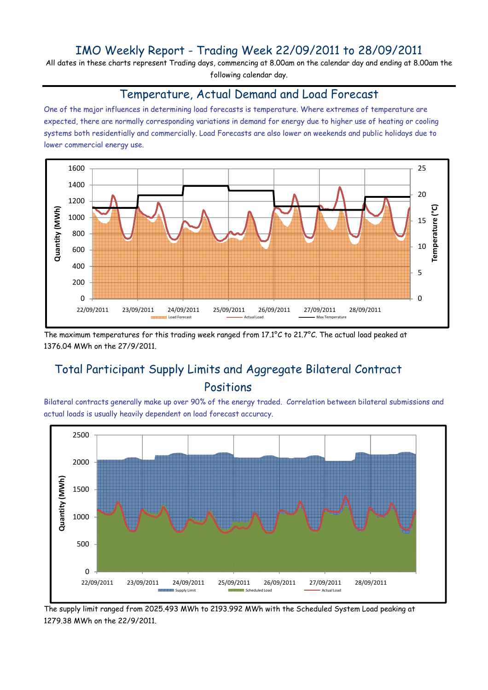### IMO Weekly Report - Trading Week 22/09/2011 to 28/09/2011

All dates in these charts represent Trading days, commencing at 8.00am on the calendar day and ending at 8.00am the following calendar day.

#### Temperature, Actual Demand and Load Forecast

One of the major influences in determining load forecasts is temperature. Where extremes of temperature are expected, there are normally corresponding variations in demand for energy due to higher use of heating or cooling systems both residentially and commercially. Load Forecasts are also lower on weekends and public holidays due to lower commercial energy use.



The maximum temperatures for this trading week ranged from 17.1°C to 21.7°C. The actual load peaked at 1376.04 MWh on the 27/9/2011.

# Total Participant Supply Limits and Aggregate Bilateral Contract Positions

Bilateral contracts generally make up over 90% of the energy traded. Correlation between bilateral submissions and actual loads is usually heavily dependent on load forecast accuracy.



The supply limit ranged from 2025.493 MWh to 2193.992 MWh with the Scheduled System Load peaking at 1279.38 MWh on the 22/9/2011.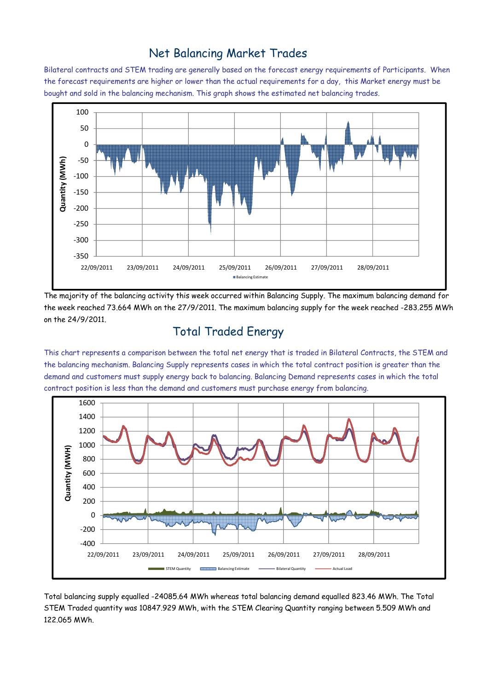### Net Balancing Market Trades

Bilateral contracts and STEM trading are generally based on the forecast energy requirements of Participants. When the forecast requirements are higher or lower than the actual requirements for a day, this Market energy must be bought and sold in the balancing mechanism. This graph shows the estimated net balancing trades.



The majority of the balancing activity this week occurred within Balancing Supply. The maximum balancing demand for the week reached 73.664 MWh on the 27/9/2011. The maximum balancing supply for the week reached -283.255 MWh on the 24/9/2011.

# Total Traded Energy

This chart represents a comparison between the total net energy that is traded in Bilateral Contracts, the STEM and the balancing mechanism. Balancing Supply represents cases in which the total contract position is greater than the demand and customers must supply energy back to balancing. Balancing Demand represents cases in which the total contract position is less than the demand and customers must purchase energy from balancing.



Total balancing supply equalled -24085.64 MWh whereas total balancing demand equalled 823.46 MWh. The Total STEM Traded quantity was 10847.929 MWh, with the STEM Clearing Quantity ranging between 5.509 MWh and 122.065 MWh.